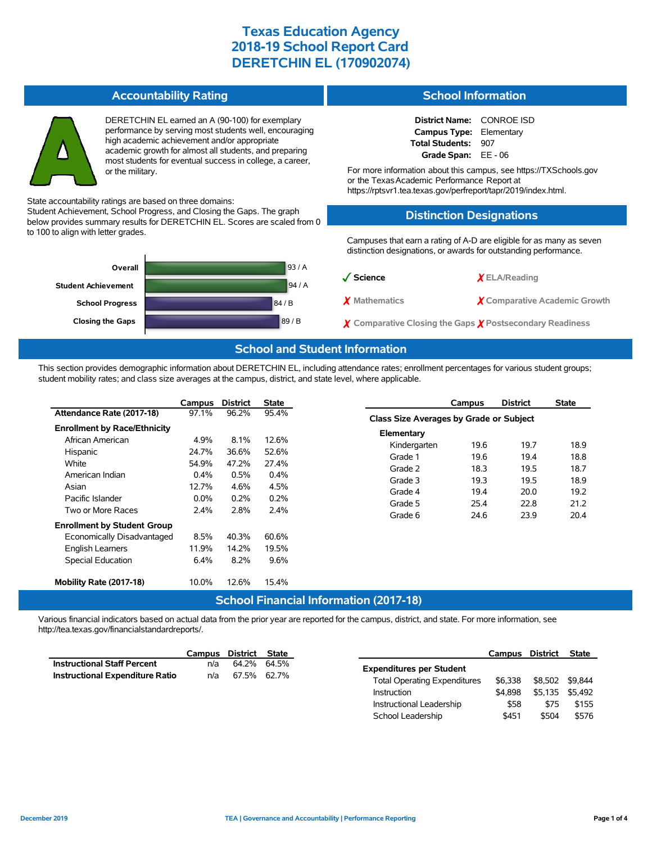#### **Accountability Rating**



DERETCHIN EL earned an A (90-100) for exemplary performance by serving most students well, encouraging high academic achievement and/or appropriate academic growth for almost all students, and preparing most students for eventual success in college, a career, or the military.

State accountability ratings are based on three domains:

Student Achievement, School Progress, and Closing the Gaps. The graph below provides summary results for DERETCHIN EL. Scores are scaled from 0 to 100 to align with letter grades.



#### **School Information**

**District Name:** CONROE ISD **Campus Type:** Elementary **Total Students:** 907 **Grade Span:** EE - 06

For more information about this campus, see https://TXSchools.gov or the TexasAcademic Performance Report at https://rptsvr1.tea.texas.gov/perfreport/tapr/2019/index.html.

### **Distinction Designations**

Campuses that earn a rating of A-D are eligible for as many as seven distinction designations, or awards for outstanding performance.

| $\sqrt{\phantom{a}}$ Science                                       | $X$ ELA/Reading               |
|--------------------------------------------------------------------|-------------------------------|
| X Mathematics                                                      | X Comparative Academic Growth |
| $\chi$ Comparative Closing the Gaps $\chi$ Postsecondary Readiness |                               |

School Leadership  $$451$  \$504 \$576

### **School and Student Information**

This section provides demographic information about DERETCHIN EL, including attendance rates; enrollment percentages for various student groups; student mobility rates; and class size averages at the campus, district, and state level, where applicable.

|                                     | Campus           | <b>District</b>      | <b>State</b>         |                                               | Campus                                  | <b>District</b> | <b>State</b> |  |  |
|-------------------------------------|------------------|----------------------|----------------------|-----------------------------------------------|-----------------------------------------|-----------------|--------------|--|--|
| Attendance Rate (2017-18)           | 97.1%            | 96.2%                | 95.4%                |                                               | Class Size Averages by Grade or Subject |                 |              |  |  |
| <b>Enrollment by Race/Ethnicity</b> |                  |                      |                      | Elementary                                    |                                         |                 |              |  |  |
| African American                    | 4.9%             | 8.1%                 | 12.6%                | Kindergarten                                  | 19.6                                    | 19.7            | 18.9         |  |  |
| Hispanic                            | 24.7%            | 36.6%                | 52.6%                | Grade 1                                       | 19.6                                    | 19.4            | 18.8         |  |  |
| White                               | 54.9%            | 47.2%                | 27.4%                |                                               |                                         |                 |              |  |  |
| American Indian                     | 0.4%             | 0.5%<br>4.6%<br>0.2% | 0.4%<br>4.5%<br>0.2% | Grade 2                                       | 18.3                                    | 19.5            | 18.7         |  |  |
| Asian                               | 12.7%<br>$0.0\%$ |                      |                      | Grade 3                                       | 19.3                                    | 19.5            | 18.9         |  |  |
|                                     |                  |                      |                      | Grade 4                                       | 19.4                                    | 20.0            | 19.2         |  |  |
| Pacific Islander                    |                  |                      |                      | Grade 5                                       | 25.4                                    | 22.8            | 21.2         |  |  |
| Two or More Races                   | 2.4%             | 2.8%                 | 2.4%                 | Grade 6                                       | 24.6                                    | 23.9            | 20.4         |  |  |
| <b>Enrollment by Student Group</b>  |                  |                      |                      |                                               |                                         |                 |              |  |  |
| Economically Disadvantaged          | 8.5%             | 40.3%                | 60.6%                |                                               |                                         |                 |              |  |  |
| English Learners                    | 11.9%            | 14.2%                | 19.5%                |                                               |                                         |                 |              |  |  |
| <b>Special Education</b>            | 6.4%             | 8.2%                 | 9.6%                 |                                               |                                         |                 |              |  |  |
| Mobility Rate (2017-18)             | 10.0%            | 12.6%                | 15.4%                |                                               |                                         |                 |              |  |  |
|                                     |                  |                      |                      | <b>School Financial Information (2017-18)</b> |                                         |                 |              |  |  |

Various financial indicators based on actual data from the prior year are reported for the campus, district, and state. For more information, see http://tea.texas.gov/financialstandardreports/.

|                                    | Campus | District State |                                     | Campus District |                 | State |
|------------------------------------|--------|----------------|-------------------------------------|-----------------|-----------------|-------|
| <b>Instructional Staff Percent</b> | n/a    | 64.2% 64.5%    | <b>Expenditures per Student</b>     |                 |                 |       |
| Instructional Expenditure Ratio    | n/a    | 67.5% 62.7%    |                                     |                 |                 |       |
|                                    |        |                | <b>Total Operating Expenditures</b> | \$6.338         | \$8,502 \$9,844 |       |
|                                    |        |                | Instruction                         | \$4.898         | \$5,135 \$5,492 |       |
|                                    |        |                | Instructional Leadership            | \$58            | \$75            | \$155 |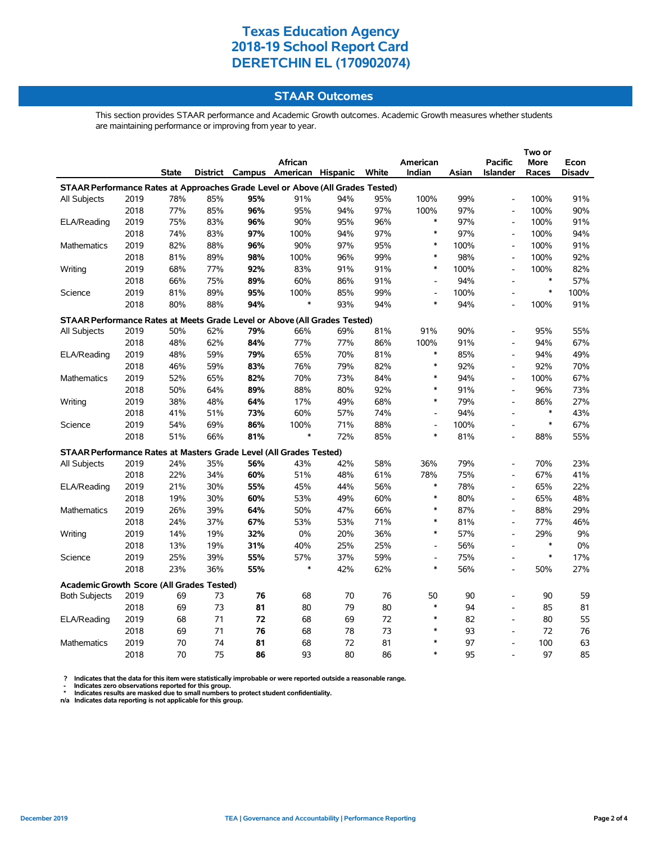### **STAAR Outcomes**

This section provides STAAR performance and Academic Growth outcomes. Academic Growth measures whether students are maintaining performance or improving from year to year.

|                                                                                |      |              |     |     |                                   |     |       |                          |       |                          | Two or      |               |  |
|--------------------------------------------------------------------------------|------|--------------|-----|-----|-----------------------------------|-----|-------|--------------------------|-------|--------------------------|-------------|---------------|--|
|                                                                                |      |              |     |     | African                           |     |       | American                 |       | <b>Pacific</b>           | <b>More</b> | Econ          |  |
|                                                                                |      | <b>State</b> |     |     | District Campus American Hispanic |     | White | Indian                   | Asian | <b>Islander</b>          | Races       | <b>Disadv</b> |  |
| STAAR Performance Rates at Approaches Grade Level or Above (All Grades Tested) |      |              |     |     |                                   |     |       |                          |       |                          |             |               |  |
| All Subjects                                                                   | 2019 | 78%          | 85% | 95% | 91%                               | 94% | 95%   | 100%                     | 99%   | $\blacksquare$           | 100%        | 91%           |  |
|                                                                                | 2018 | 77%          | 85% | 96% | 95%                               | 94% | 97%   | 100%                     | 97%   | $\overline{a}$           | 100%        | 90%           |  |
| ELA/Reading                                                                    | 2019 | 75%          | 83% | 96% | 90%                               | 95% | 96%   | $\ast$                   | 97%   | $\overline{a}$           | 100%        | 91%           |  |
|                                                                                | 2018 | 74%          | 83% | 97% | 100%                              | 94% | 97%   | $\ast$                   | 97%   | $\overline{\phantom{a}}$ | 100%        | 94%           |  |
| Mathematics                                                                    | 2019 | 82%          | 88% | 96% | 90%                               | 97% | 95%   | $\ast$                   | 100%  | $\overline{a}$           | 100%        | 91%           |  |
|                                                                                | 2018 | 81%          | 89% | 98% | 100%                              | 96% | 99%   | $\ast$                   | 98%   | $\overline{a}$           | 100%        | 92%           |  |
| Writing                                                                        | 2019 | 68%          | 77% | 92% | 83%                               | 91% | 91%   | $\ast$                   | 100%  | $\overline{a}$           | 100%        | 82%           |  |
|                                                                                | 2018 | 66%          | 75% | 89% | 60%                               | 86% | 91%   | $\overline{\phantom{a}}$ | 94%   | $\blacksquare$           | $\ast$      | 57%           |  |
| Science                                                                        | 2019 | 81%          | 89% | 95% | 100%                              | 85% | 99%   | $\overline{\phantom{a}}$ | 100%  | $\overline{\phantom{a}}$ | $\ast$      | 100%          |  |
|                                                                                | 2018 | 80%          | 88% | 94% | $\ast$                            | 93% | 94%   | $\ast$                   | 94%   | $\overline{a}$           | 100%        | 91%           |  |
| STAAR Performance Rates at Meets Grade Level or Above (All Grades Tested)      |      |              |     |     |                                   |     |       |                          |       |                          |             |               |  |
| All Subjects                                                                   | 2019 | 50%          | 62% | 79% | 66%                               | 69% | 81%   | 91%                      | 90%   | $\overline{a}$           | 95%         | 55%           |  |
|                                                                                | 2018 | 48%          | 62% | 84% | 77%                               | 77% | 86%   | 100%                     | 91%   | $\blacksquare$           | 94%         | 67%           |  |
| ELA/Reading                                                                    | 2019 | 48%          | 59% | 79% | 65%                               | 70% | 81%   | $\ast$                   | 85%   | $\overline{a}$           | 94%         | 49%           |  |
|                                                                                | 2018 | 46%          | 59% | 83% | 76%                               | 79% | 82%   | $\ast$                   | 92%   | $\blacksquare$           | 92%         | 70%           |  |
| Mathematics                                                                    | 2019 | 52%          | 65% | 82% | 70%                               | 73% | 84%   | $\ast$                   | 94%   | $\blacksquare$           | 100%        | 67%           |  |
|                                                                                | 2018 | 50%          | 64% | 89% | 88%                               | 80% | 92%   | $\ast$                   | 91%   | $\blacksquare$           | 96%         | 73%           |  |
| Writing                                                                        | 2019 | 38%          | 48% | 64% | 17%                               | 49% | 68%   | $\ast$                   | 79%   | $\overline{\phantom{a}}$ | 86%         | 27%           |  |
|                                                                                | 2018 | 41%          | 51% | 73% | 60%                               | 57% | 74%   | $\overline{a}$           | 94%   | $\overline{a}$           | $\ast$      | 43%           |  |
| Science                                                                        | 2019 | 54%          | 69% | 86% | 100%                              | 71% | 88%   | $\overline{\phantom{a}}$ | 100%  | $\overline{a}$           | $\ast$      | 67%           |  |
|                                                                                | 2018 | 51%          | 66% | 81% | $\ast$                            | 72% | 85%   | $\ast$                   | 81%   | $\overline{a}$           | 88%         | 55%           |  |
| STAAR Performance Rates at Masters Grade Level (All Grades Tested)             |      |              |     |     |                                   |     |       |                          |       |                          |             |               |  |
| All Subjects                                                                   | 2019 | 24%          | 35% | 56% | 43%                               | 42% | 58%   | 36%                      | 79%   | $\blacksquare$           | 70%         | 23%           |  |
|                                                                                | 2018 | 22%          | 34% | 60% | 51%                               | 48% | 61%   | 78%                      | 75%   | $\overline{a}$           | 67%         | 41%           |  |
| ELA/Reading                                                                    | 2019 | 21%          | 30% | 55% | 45%                               | 44% | 56%   | $\ast$                   | 78%   | $\blacksquare$           | 65%         | 22%           |  |
|                                                                                | 2018 | 19%          | 30% | 60% | 53%                               | 49% | 60%   | $\ast$                   | 80%   | $\overline{a}$           | 65%         | 48%           |  |
| Mathematics                                                                    | 2019 | 26%          | 39% | 64% | 50%                               | 47% | 66%   | $\ast$                   | 87%   | $\blacksquare$           | 88%         | 29%           |  |
|                                                                                | 2018 | 24%          | 37% | 67% | 53%                               | 53% | 71%   | $\ast$                   | 81%   | $\overline{a}$           | 77%         | 46%           |  |
| Writing                                                                        | 2019 | 14%          | 19% | 32% | 0%                                | 20% | 36%   | $\ast$                   | 57%   | $\blacksquare$           | 29%         | $9\%$         |  |
|                                                                                | 2018 | 13%          | 19% | 31% | 40%                               | 25% | 25%   | $\overline{a}$           | 56%   | $\blacksquare$           | $\ast$      | $0\%$         |  |
| Science                                                                        | 2019 | 25%          | 39% | 55% | 57%                               | 37% | 59%   | $\overline{a}$           | 75%   | $\overline{a}$           | $\ast$      | 17%           |  |
|                                                                                | 2018 | 23%          | 36% | 55% | $\ast$                            | 42% | 62%   | $\ast$                   | 56%   | $\overline{\phantom{a}}$ | 50%         | 27%           |  |
| <b>Academic Growth Score (All Grades Tested)</b>                               |      |              |     |     |                                   |     |       |                          |       |                          |             |               |  |
| <b>Both Subjects</b>                                                           | 2019 | 69           | 73  | 76  | 68                                | 70  | 76    | 50                       | 90    |                          | 90          | 59            |  |
|                                                                                | 2018 | 69           | 73  | 81  | 80                                | 79  | 80    | $\ast$                   | 94    | $\blacksquare$           | 85          | 81            |  |
| ELA/Reading                                                                    | 2019 | 68           | 71  | 72  | 68                                | 69  | 72    | $\ast$                   | 82    | $\overline{a}$           | 80          | 55            |  |
|                                                                                | 2018 | 69           | 71  | 76  | 68                                | 78  | 73    | $\ast$                   | 93    | $\blacksquare$           | 72          | 76            |  |
| Mathematics                                                                    | 2019 | 70           | 74  | 81  | 68                                | 72  | 81    | *                        | 97    | $\blacksquare$           | 100         | 63            |  |
|                                                                                | 2018 | 70           | 75  | 86  | 93                                | 80  | 86    | $\ast$                   | 95    | $\overline{a}$           | 97          | 85            |  |

? Indicates that the data for this item were statistically improbable or were reported outside a reasonable range.<br>- Indicates zero observations reported for this group.<br>\* Indicates results are masked due to small numbers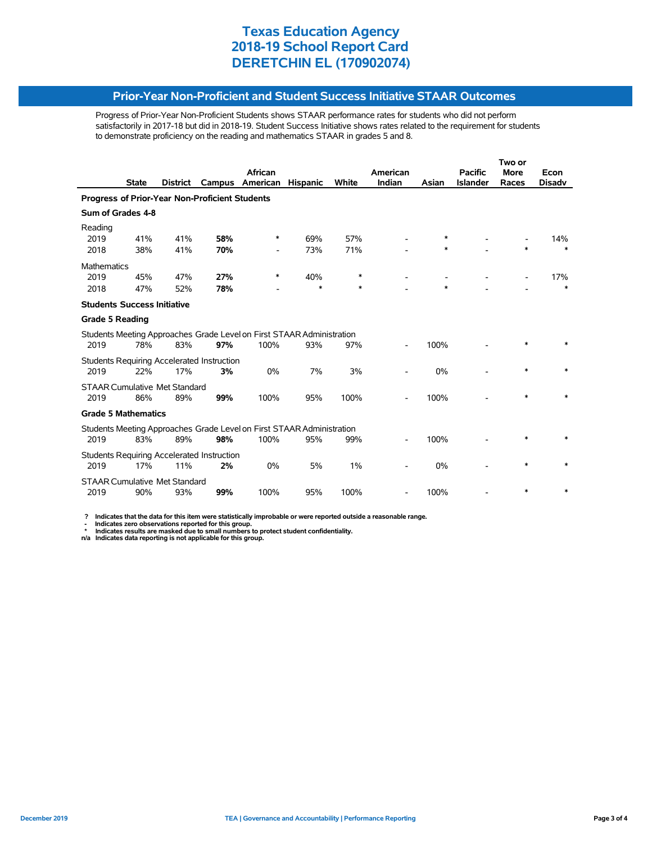#### **Prior-Year Non-Proficient and Student Success Initiative STAAR Outcomes**

Progress of Prior-Year Non-Proficient Students shows STAAR performance rates for students who did not perform satisfactorily in 2017-18 but did in 2018-19. Student Success Initiative shows rates related to the requirement for students to demonstrate proficiency on the reading and mathematics STAAR in grades 5 and 8.

|                                                       |              |                 |                                                   |                                                                       |                 |       | Two or   |        |                 |             |               |  |
|-------------------------------------------------------|--------------|-----------------|---------------------------------------------------|-----------------------------------------------------------------------|-----------------|-------|----------|--------|-----------------|-------------|---------------|--|
|                                                       |              |                 |                                                   | African                                                               |                 |       | American |        | <b>Pacific</b>  | <b>More</b> | Econ          |  |
|                                                       | <b>State</b> | <b>District</b> | Campus                                            | American                                                              | <b>Hispanic</b> | White | Indian   | Asian  | <b>Islander</b> | Races       | <b>Disadv</b> |  |
| <b>Progress of Prior-Year Non-Proficient Students</b> |              |                 |                                                   |                                                                       |                 |       |          |        |                 |             |               |  |
| Sum of Grades 4-8                                     |              |                 |                                                   |                                                                       |                 |       |          |        |                 |             |               |  |
| Reading<br>2019                                       | 41%          | 41%             | 58%                                               | ∗                                                                     | 69%             | 57%   |          | $\ast$ |                 |             | 14%           |  |
| 2018                                                  | 38%          | 41%             | 70%                                               |                                                                       | 73%             | 71%   |          | $\ast$ |                 | *           | $\ast$        |  |
| <b>Mathematics</b>                                    |              |                 |                                                   |                                                                       |                 |       |          |        |                 |             |               |  |
| 2019                                                  | 45%          | 47%             | 27%                                               | $\ast$                                                                | 40%             | *     |          |        |                 |             | 17%           |  |
| 2018                                                  | 47%          | 52%             | 78%                                               |                                                                       | $\ast$          | *     |          | $\ast$ |                 |             | $\ast$        |  |
| <b>Students Success Initiative</b>                    |              |                 |                                                   |                                                                       |                 |       |          |        |                 |             |               |  |
| <b>Grade 5 Reading</b>                                |              |                 |                                                   |                                                                       |                 |       |          |        |                 |             |               |  |
|                                                       |              |                 |                                                   | Students Meeting Approaches Grade Level on First STAAR Administration |                 |       |          |        |                 |             |               |  |
| 2019                                                  | 78%          | 83%             | 97%                                               | 100%                                                                  | 93%             | 97%   |          | 100%   |                 |             |               |  |
|                                                       |              |                 | Students Requiring Accelerated Instruction        |                                                                       |                 |       |          |        |                 |             |               |  |
| 2019                                                  | 22%          | 17%             | 3%                                                | 0%                                                                    | 7%              | 3%    |          | 0%     |                 | $\ast$      |               |  |
| <b>STAAR Cumulative Met Standard</b>                  |              |                 |                                                   |                                                                       |                 |       |          |        |                 |             |               |  |
| 2019                                                  | 86%          | 89%             | 99%                                               | 100%                                                                  | 95%             | 100%  |          | 100%   |                 | *           |               |  |
| <b>Grade 5 Mathematics</b>                            |              |                 |                                                   |                                                                       |                 |       |          |        |                 |             |               |  |
|                                                       |              |                 |                                                   | Students Meeting Approaches Grade Level on First STAAR Administration |                 |       |          |        |                 |             |               |  |
| 2019                                                  | 83%          | 89%             | 98%                                               | 100%                                                                  | 95%             | 99%   |          | 100%   |                 |             |               |  |
|                                                       |              |                 | <b>Students Requiring Accelerated Instruction</b> |                                                                       |                 |       |          |        |                 |             |               |  |
| 2019                                                  | 17%          | 11%             | 2%                                                | 0%                                                                    | 5%              | 1%    |          | 0%     |                 | *           |               |  |
| <b>STAAR Cumulative Met Standard</b>                  |              |                 |                                                   |                                                                       |                 |       |          |        |                 |             |               |  |
| 2019                                                  | 90%          | 93%             | 99%                                               | 100%                                                                  | 95%             | 100%  |          | 100%   |                 |             |               |  |

 **? Indicates that the data for this item were statistically improbable or were reported outside a reasonable range.**

- Indicates zero observations reported for this group.<br>\* Indicates results are masked due to small numbers to protect student confidentiality.<br>n/a Indicates data reporting is not applicable for this group.

j,